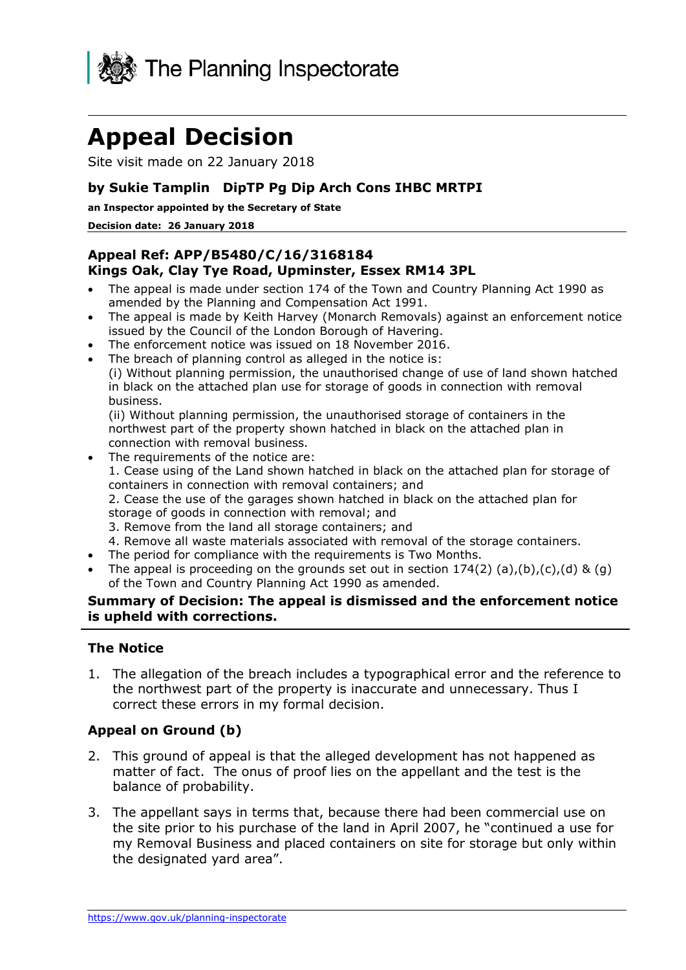

# **Appeal Decision**

Site visit made on 22 January 2018

## **by Sukie Tamplin DipTP Pg Dip Arch Cons IHBC MRTPI**

 **an Inspector appointed by the Secretary of State** 

#### **Decision date: 26 January 2018**

#### **Kings Oak, Clay Tye Road, Upminster, Essex RM14 3PL Appeal Ref: APP/B5480/C/16/3168184**

- The appeal is made under section 174 of the Town and Country Planning Act 1990 as amended by the Planning and Compensation Act 1991.
- The appeal is made by Keith Harvey (Monarch Removals) against an enforcement notice issued by the Council of the London Borough of Havering.
- The enforcement notice was issued on 18 November 2016.
- The breach of planning control as alleged in the notice is:

 in black on the attached plan use for storage of goods in connection with removal (i) Without planning permission, the unauthorised change of use of land shown hatched business.

 northwest part of the property shown hatched in black on the attached plan in (ii) Without planning permission, the unauthorised storage of containers in the connection with removal business.

- 2. Cease the use of the garages shown hatched in black on the attached plan for • The requirements of the notice are: 1. Cease using of the Land shown hatched in black on the attached plan for storage of containers in connection with removal containers; and
	- storage of goods in connection with removal; and
	- 3. Remove from the land all storage containers; and
	- 4. Remove all waste materials associated with removal of the storage containers.
- The period for compliance with the requirements is Two Months.
- The appeal is proceeding on the grounds set out in section  $174(2)$  (a),(b),(c),(d) & (g) of the Town and Country Planning Act 1990 as amended.

## **Summary of Decision: The appeal is dismissed and the enforcement notice is upheld with corrections.**

#### **The Notice**

 1. The allegation of the breach includes a typographical error and the reference to correct these errors in my formal decision. the northwest part of the property is inaccurate and unnecessary. Thus I

## **Appeal on Ground (b)**

- 2. This ground of appeal is that the alleged development has not happened as matter of fact. The onus of proof lies on the appellant and the test is the balance of probability.
- 3. The appellant says in terms that, because there had been commercial use on the site prior to his purchase of the land in April 2007, he "continued a use for my Removal Business and placed containers on site for storage but only within the designated yard area".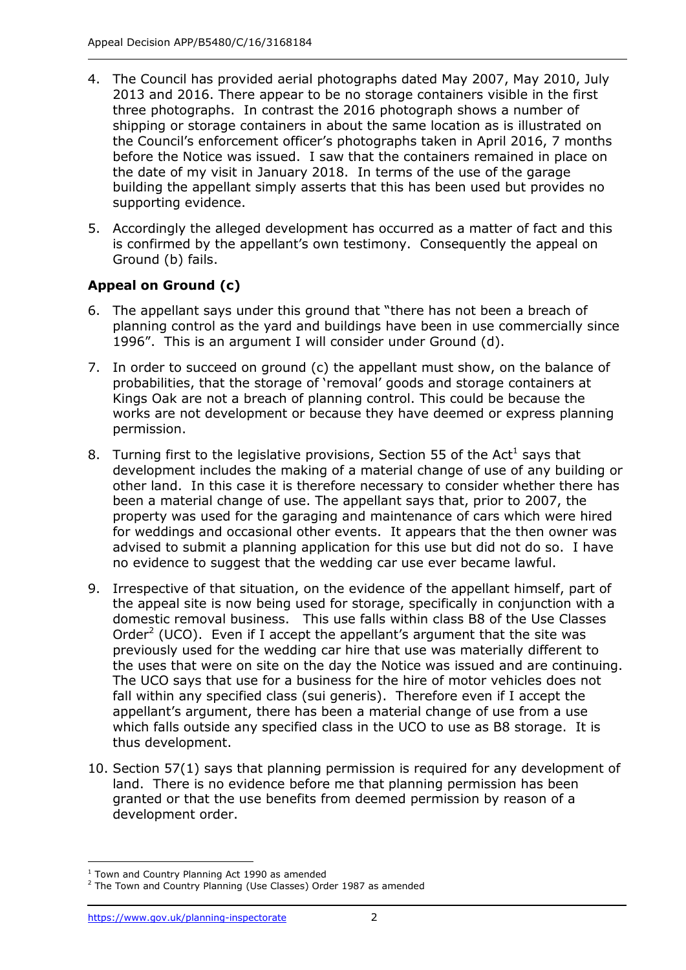- 4. The Council has provided aerial photographs dated May 2007, May 2010, July 2013 and 2016. There appear to be no storage containers visible in the first three photographs. In contrast the 2016 photograph shows a number of shipping or storage containers in about the same location as is illustrated on the Council's enforcement officer's photographs taken in April 2016, 7 months before the Notice was issued. I saw that the containers remained in place on the date of my visit in January 2018. In terms of the use of the garage building the appellant simply asserts that this has been used but provides no supporting evidence.
- is confirmed by the appellant's own testimony. Consequently the appeal on Ground (b) fails. 5. Accordingly the alleged development has occurred as a matter of fact and this

## **Appeal on Ground (c)**

- 6. The appellant says under this ground that "there has not been a breach of planning control as the yard and buildings have been in use commercially since 1996". This is an argument I will consider under Ground (d).
- 7. In order to succeed on ground (c) the appellant must show, on the balance of Kings Oak are not a breach of planning control. This could be because the works are not development or because they have deemed or express planning probabilities, that the storage of 'removal' goods and storage containers at permission.
- development includes the making of a material change of use of any building or other land. In this case it is therefore necessary to consider whether there has been a material change of use. The appellant says that, prior to 2007, the property was used for the garaging and maintenance of cars which were hired for weddings and occasional other events. It appears that the then owner was advised to submit a planning application for this use but did not do so. I have no evidence to suggest that the wedding car use ever became lawful. 8. Turning first to the legislative provisions, Section 55 of the Act<sup>1</sup> says that
- 9. Irrespective of that situation, on the evidence of the appellant himself, part of the appeal site is now being used for storage, specifically in conjunction with a domestic removal business. This use falls within class B8 of the Use Classes Order<sup>2</sup> (UCO). Even if I accept the appellant's argument that the site was previously used for the wedding car hire that use was materially different to the uses that were on site on the day the Notice was issued and are continuing. the uses that were on site on the day the Notice was issued and are continuing.<br>The UCO says that use for a business for the hire of motor vehicles does not fall within any specified class (sui generis). Therefore even if I accept the appellant's argument, there has been a material change of use from a use which falls outside any specified class in the UCO to use as B8 storage. It is thus development.
- land. There is no evidence before me that planning permission has been development order. 10. Section 57(1) says that planning permission is required for any development of granted or that the use benefits from deemed permission by reason of a

j  $1$  Town and Country Planning Act 1990 as amended

 $2$  The Town and Country Planning (Use Classes) Order 1987 as amended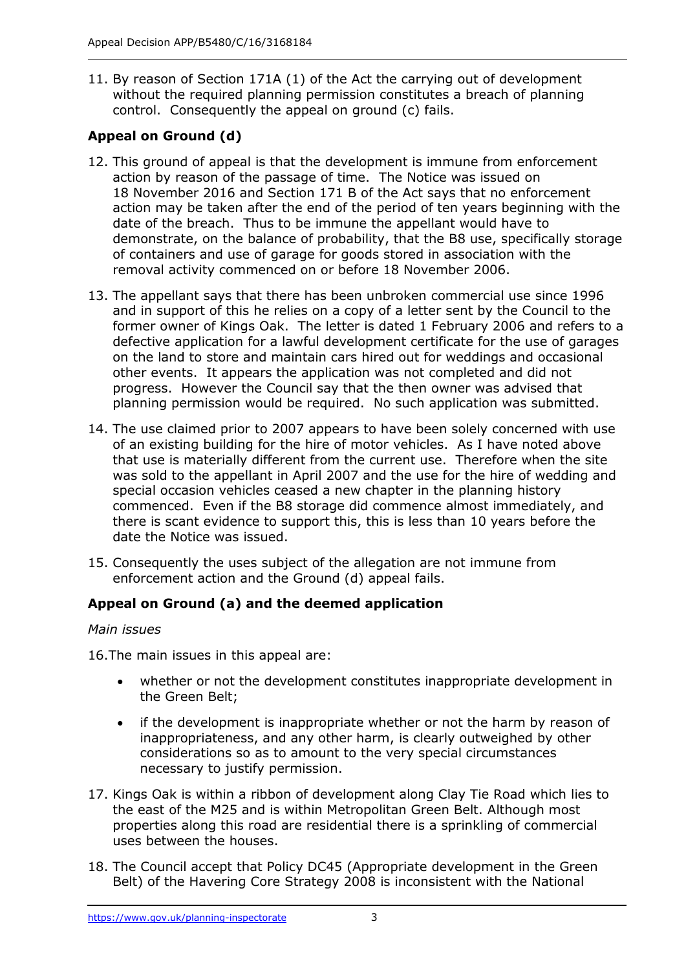11. By reason of Section 171A (1) of the Act the carrying out of development without the required planning permission constitutes a breach of planning control. Consequently the appeal on ground (c) fails.

# **Appeal on Ground (d)**

- action by reason of the passage of time. The Notice was issued on 18 November 2016 and Section 171 B of the Act says that no enforcement action may be taken after the end of the period of ten years beginning with the date of the breach. Thus to be immune the appellant would have to of containers and use of garage for goods stored in association with the removal activity commenced on or before 18 November 2006. 12. This ground of appeal is that the development is immune from enforcement demonstrate, on the balance of probability, that the B8 use, specifically storage
- and in support of this he relies on a copy of a letter sent by the Council to the former owner of Kings Oak. The letter is dated 1 February 2006 and refers to a defective application for a lawful development certificate for the use of garages other events. It appears the application was not completed and did not progress. However the Council say that the then owner was advised that planning permission would be required. No such application was submitted. 13. The appellant says that there has been unbroken commercial use since 1996 on the land to store and maintain cars hired out for weddings and occasional
- 14. The use claimed prior to 2007 appears to have been solely concerned with use of an existing building for the hire of motor vehicles. As I have noted above that use is materially different from the current use. Therefore when the site was sold to the appellant in April 2007 and the use for the hire of wedding and special occasion vehicles ceased a new chapter in the planning history commenced. Even if the B8 storage did commence almost immediately, and there is scant evidence to support this, this is less than 10 years before the date the Notice was issued.
- date the Notice was issued.<br>15. Consequently the uses subject of the allegation are not immune from enforcement action and the Ground (d) appeal fails.

## **Appeal on Ground (a) and the deemed application**

## *Main issues*

16.The main issues in this appeal are:

- whether or not the development constitutes inappropriate development in the Green Belt;
- if the development is inappropriate whether or not the harm by reason of inappropriateness, and any other harm, is clearly outweighed by other considerations so as to amount to the very special circumstances necessary to justify permission.
- 17. Kings Oak is within a ribbon of development along Clay Tie Road which lies to the east of the M25 and is within Metropolitan Green Belt. Although most properties along this road are residential there is a sprinkling of commercial uses between the houses.
- uses between the houses.<br>18. The Council accept that Policy DC45 (Appropriate development in the Green Belt) of the Havering Core Strategy 2008 is inconsistent with the National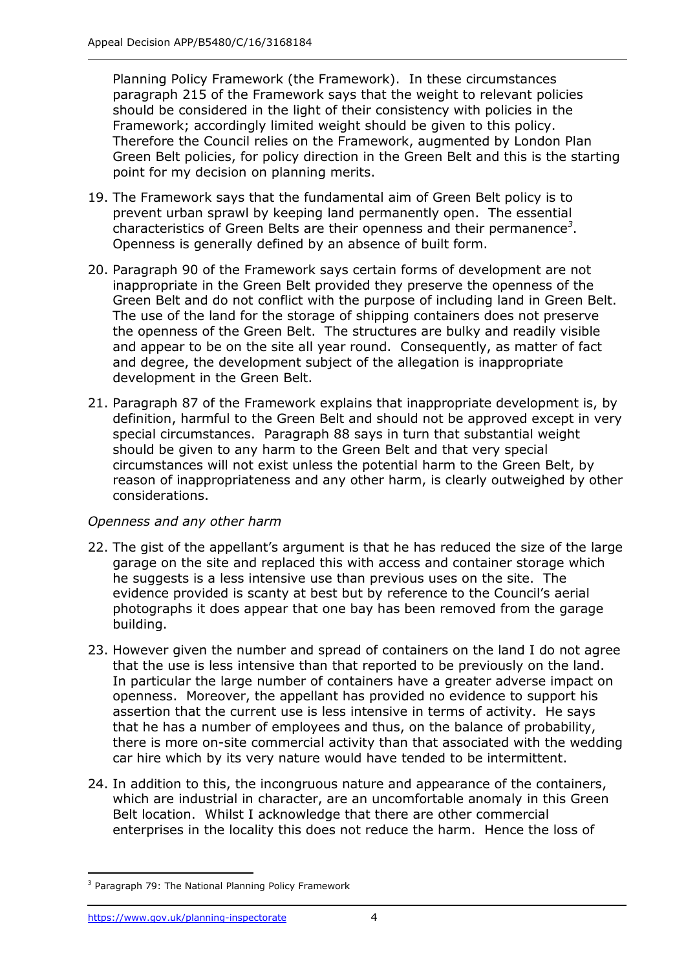Planning Policy Framework (the Framework). In these circumstances should be considered in the light of their consistency with policies in the Green Belt policies, for policy direction in the Green Belt and this is the starting point for my decision on planning merits. paragraph 215 of the Framework says that the weight to relevant policies Framework; accordingly limited weight should be given to this policy. Therefore the Council relies on the Framework, augmented by London Plan

- 19. The Framework says that the fundamental aim of Green Belt policy is to prevent urban sprawl by keeping land permanently open. The essential characteristics of Green Belts are their openness and their permanence<sup>3</sup>. Openness is generally defined by an absence of built form.
- Green Belt and do not conflict with the purpose of including land in Green Belt. The use of the land for the storage of shipping containers does not preserve the openness of the Green Belt. The structures are bulky and readily visible and appear to be on the site all year round. Consequently, as matter of fact and degree, the development subject of the allegation is inappropriate 20. Paragraph 90 of the Framework says certain forms of development are not inappropriate in the Green Belt provided they preserve the openness of the development in the Green Belt.
- 21. Paragraph 87 of the Framework explains that inappropriate development is, by definition, harmful to the Green Belt and should not be approved except in very special circumstances. Paragraph 88 says in turn that substantial weight should be given to any harm to the Green Belt and that very special circumstances will not exist unless the potential harm to the Green Belt, by reason of inappropriateness and any other harm, is clearly outweighed by other considerations.

## *Openness and any other harm*

- 22. The gist of the appellant's argument is that he has reduced the size of the large garage on the site and replaced this with access and container storage which he suggests is a less intensive use than previous uses on the site. The evidence provided is scanty at best but by reference to the Council's aerial building. photographs it does appear that one bay has been removed from the garage
- building. 23. However given the number and spread of containers on the land I do not agree that the use is less intensive than that reported to be previously on the land. In particular the large number of containers have a greater adverse impact on openness. Moreover, the appellant has provided no evidence to support his assertion that the current use is less intensive in terms of activity. He says that he has a number of employees and thus, on the balance of probability, there is more on-site commercial activity than that associated with the wedding car hire which by its very nature would have tended to be intermittent.
- which are industrial in character, are an uncomfortable anomaly in this Green Belt location. Whilst I acknowledge that there are other commercial enterprises in the locality this does not reduce the harm. Hence the loss of 24. In addition to this, the incongruous nature and appearance of the containers,

-

<sup>&</sup>lt;sup>3</sup> Paragraph 79: The National Planning Policy Framework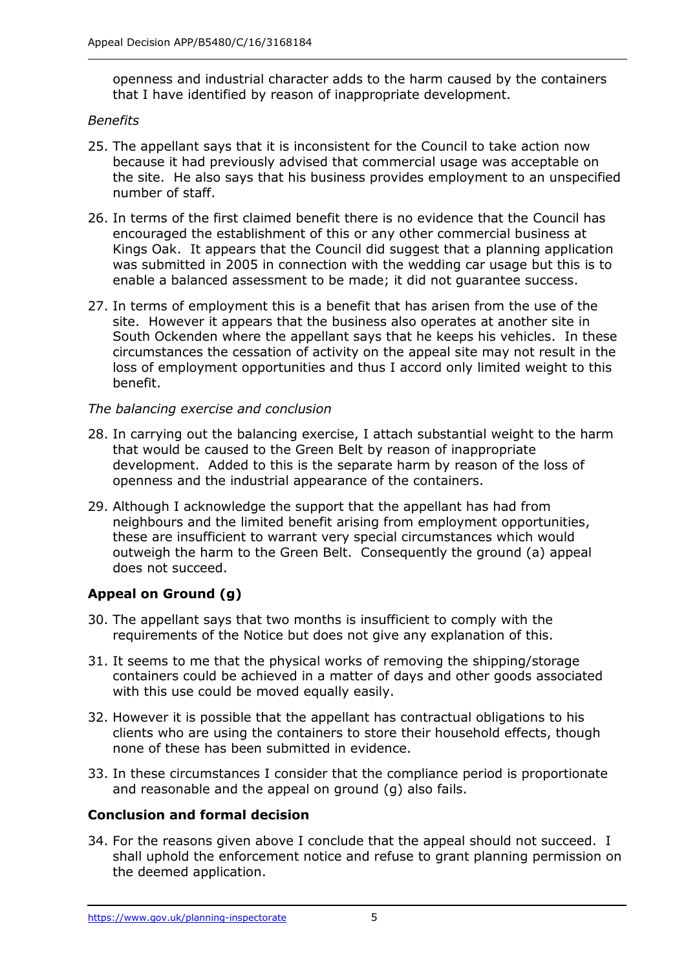openness and industrial character adds to the harm caused by the containers that I have identified by reason of inappropriate development.

## *Benefits*

- the site. He also says that his business provides employment to an unspecified number of staff. 25. The appellant says that it is inconsistent for the Council to take action now because it had previously advised that commercial usage was acceptable on
- 26. In terms of the first claimed benefit there is no evidence that the Council has encouraged the establishment of this or any other commercial business at Kings Oak. It appears that the Council did suggest that a planning application was submitted in 2005 in connection with the wedding car usage but this is to enable a balanced assessment to be made; it did not guarantee success.
- 27. In terms of employment this is a benefit that has arisen from the use of the site. However it appears that the business also operates at another site in South Ockenden where the appellant says that he keeps his vehicles. In these circumstances the cessation of activity on the appeal site may not result in the loss of employment opportunities and thus I accord only limited weight to this benefit.

## *The balancing exercise and conclusion*

- 28. In carrying out the balancing exercise, I attach substantial weight to the harm development. Added to this is the separate harm by reason of the loss of openness and the industrial appearance of the containers. that would be caused to the Green Belt by reason of inappropriate
- 29. Although I acknowledge the support that the appellant has had from neighbours and the limited benefit arising from employment opportunities, these are insufficient to warrant very special circumstances which would outweigh the harm to the Green Belt. Consequently the ground (a) appeal does not succeed.

## **Appeal on Ground (g)**

- 30. The appellant says that two months is insufficient to comply with the requirements of the Notice but does not give any explanation of this.
- containers could be achieved in a matter of days and other goods associated with this use could be moved equally easily. 31. It seems to me that the physical works of removing the shipping/storage
- clients who are using the containers to store their household effects, though none of these has been submitted in evidence. 32. However it is possible that the appellant has contractual obligations to his
- 33. In these circumstances I consider that the compliance period is proportionate and reasonable and the appeal on ground (g) also fails.

## **Conclusion and formal decision**

 34. For the reasons given above I conclude that the appeal should not succeed. I shall uphold the enforcement notice and refuse to grant planning permission on the deemed application.